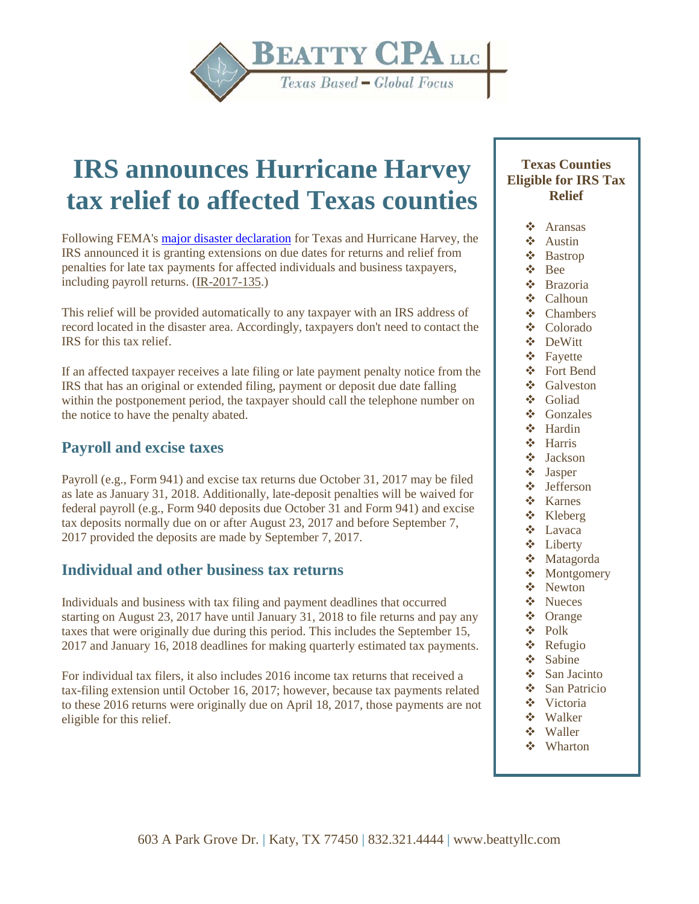

# **IRS announces Hurricane Harvey tax relief to affected Texas counties**

Following FEMA's [major disaster declaration](https://www.fema.gov/disaster/4332) for Texas and Hurricane Harvey, the IRS announced it is granting extensions on due dates for returns and relief from penalties for late tax payments for affected individuals and business taxpayers, including payroll returns. [\(IR-2017-135.](https://checkpoint.riag.com/app/main/docLinkNew?DocID=i74773f5e6760cdeff3e8d0216f596a67&SrcDocId=T0EYTXALYR%3A16084.1-1&feature=ttoc&lastCpReqId=1ba122d))

This relief will be provided automatically to any taxpayer with an IRS address of record located in the disaster area. Accordingly, taxpayers don't need to contact the IRS for this tax relief.

If an affected taxpayer receives a late filing or late payment penalty notice from the IRS that has an original or extended filing, payment or deposit due date falling within the postponement period, the taxpayer should call the telephone number on the notice to have the penalty abated.

# **Payroll and excise taxes**

Payroll (e.g., Form 941) and excise tax returns due October 31, 2017 may be filed as late as January 31, 2018. Additionally, late-deposit penalties will be waived for federal payroll (e.g., Form 940 deposits due October 31 and Form 941) and excise tax deposits normally due on or after August 23, 2017 and before September 7, 2017 provided the deposits are made by September 7, 2017.

## **Individual and other business tax returns**

Individuals and business with tax filing and payment deadlines that occurred starting on August 23, 2017 have until January 31, 2018 to file returns and pay any taxes that were originally due during this period. This includes the September 15, 2017 and January 16, 2018 deadlines for making quarterly estimated tax payments.

For individual tax filers, it also includes 2016 income tax returns that received a tax-filing extension until October 16, 2017; however, because tax payments related to these 2016 returns were originally due on April 18, 2017, those payments are not eligible for this relief.

### **Texas Counties Eligible for IRS Tax Relief**

- Aransas
- $\div$  Austin
- Bastrop
- Bee
- Brazoria
- **❖** Calhoun
- Chambers Colorado
- DeWitt
- Fayette
- Fort Bend
- ❖ Galveston
- **❖** Goliad
- Gonzales
- Hardin
- **❖** Harris
- Jackson
- Jasper Jefferson
- 
- **❖** Karnes
- Kleberg
- Lavaca
- Liberty
- Matagorda
- ❖ Montgomery
- ❖ Newton
- Nueces
- Orange Polk
- Refugio
- Sabine
- ❖ San Jacinto
- San Patricio
- Victoria
- Walker
- Waller
- Wharton